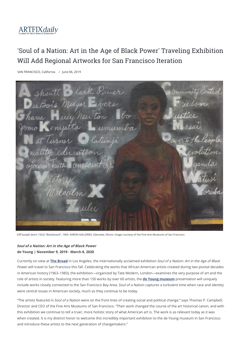

## 'Soul of a Nation: Art in the Age of Black Power' Traveling Exhibition Will Add Regional Artworks for San Francisco Iteration

SAN FRANCISCO, California / June 06, 2019

Shanti lack Power Du Bois Medgar vers Huey New ton ower lity education ousse levelm.

Cliff Joseph (born 1922) "Blackboard", 1969. AARON GALLERIES, Glenview, Illinois. Image courtesy of the Fine Arts Museums of San Francisco

**Soul of a Nation: Art in the Age of Black Power de Young | November 9, 2019 - March 8, 2020**

Currently on view at **The Broad** in Los Angeles, the internationally acclaimed exhibition Soul of a Nation: Art in the Age of Black Power will travel to San Francisco this fall. Celebrating the works that African American artists created during two pivotal decades in American history (1963–1983), the exhibition—organized by Tate Modern, London—examines the very purpose of art and the role of artists in society. Featuring more than 150 works by over 60 artists, the **de Young museum** presentation will uniquely include works closely connected to the San Francisco Bay Area. Soul of a Nation captures a turbulent time when race and identity were central issues in American society, much as they continue to be today.

"The artists featured in Soul of a Nation were on the front lines of creating social and political change," says Thomas P. Campbell, Director and CEO of the Fine Arts Museums of San Francisco. "Their work changed the course of the art historical canon, and with this exhibition we continue to tell a truer, more holistic story of what American art is. The work is as relevant today as it was when created. It is my distinct honor to welcome this incredibly important exhibition to the de Young museum in San Francisco and introduce these artists to the next generation of changemakers."